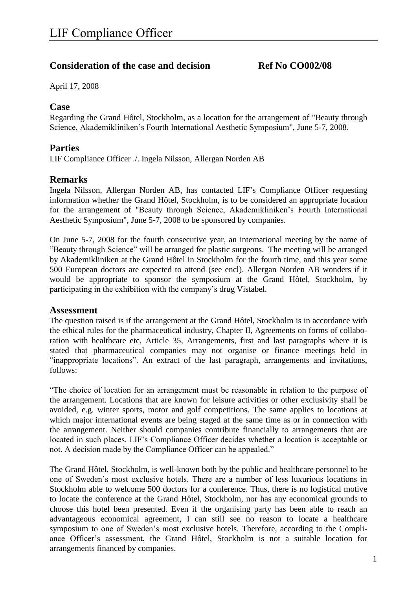## **Consideration of the case and decision Ref No CO002/08**

April 17, 2008

### **Case**

Regarding the Grand Hôtel, Stockholm, as a location for the arrangement of "Beauty through Science, Akademikliniken's Fourth International Aesthetic Symposium", June 5-7, 2008.

### **Parties**

LIF Compliance Officer ./. Ingela Nilsson, Allergan Norden AB

### **Remarks**

Ingela Nilsson, Allergan Norden AB, has contacted LIF's Compliance Officer requesting information whether the Grand Hôtel, Stockholm, is to be considered an appropriate location for the arrangement of "Beauty through Science, Akademikliniken's Fourth International Aesthetic Symposium", June 5-7, 2008 to be sponsored by companies.

On June 5-7, 2008 for the fourth consecutive year, an international meeting by the name of "Beauty through Science" will be arranged for plastic surgeons. The meeting will be arranged by Akademikliniken at the Grand Hôtel in Stockholm for the fourth time, and this year some 500 European doctors are expected to attend (see encl). Allergan Norden AB wonders if it would be appropriate to sponsor the symposium at the Grand Hôtel, Stockholm, by participating in the exhibition with the company's drug Vistabel.

#### **Assessment**

The question raised is if the arrangement at the Grand Hôtel, Stockholm is in accordance with the ethical rules for the pharmaceutical industry, Chapter II, Agreements on forms of collaboration with healthcare etc, Article 35, Arrangements, first and last paragraphs where it is stated that pharmaceutical companies may not organise or finance meetings held in "inappropriate locations". An extract of the last paragraph, arrangements and invitations, follows:

"The choice of location for an arrangement must be reasonable in relation to the purpose of the arrangement. Locations that are known for leisure activities or other exclusivity shall be avoided, e.g. winter sports, motor and golf competitions. The same applies to locations at which major international events are being staged at the same time as or in connection with the arrangement. Neither should companies contribute financially to arrangements that are located in such places. LIF's Compliance Officer decides whether a location is acceptable or not. A decision made by the Compliance Officer can be appealed."

The Grand Hôtel, Stockholm, is well-known both by the public and healthcare personnel to be one of Sweden's most exclusive hotels. There are a number of less luxurious locations in Stockholm able to welcome 500 doctors for a conference. Thus, there is no logistical motive to locate the conference at the Grand Hôtel, Stockholm, nor has any economical grounds to choose this hotel been presented. Even if the organising party has been able to reach an advantageous economical agreement, I can still see no reason to locate a healthcare symposium to one of Sweden's most exclusive hotels. Therefore, according to the Compliance Officer's assessment, the Grand Hôtel, Stockholm is not a suitable location for arrangements financed by companies.